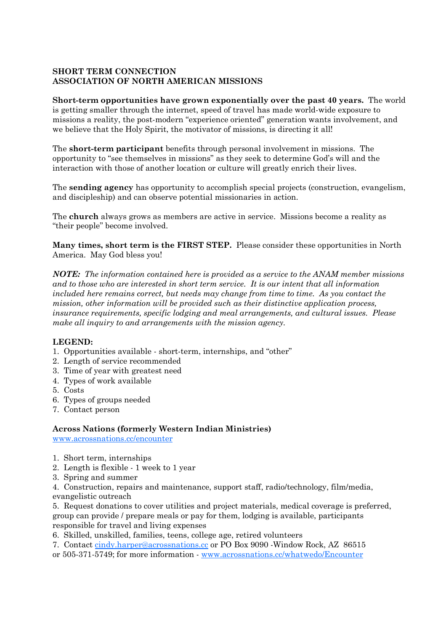# **SHORT TERM CONNECTION ASSOCIATION OF NORTH AMERICAN MISSIONS**

**Short-term opportunities have grown exponentially over the past 40 years.** The world is getting smaller through the internet, speed of travel has made world-wide exposure to missions a reality, the post-modern "experience oriented" generation wants involvement, and we believe that the Holy Spirit, the motivator of missions, is directing it all!

The **short-term participant** benefits through personal involvement in missions. The opportunity to "see themselves in missions" as they seek to determine God's will and the interaction with those of another location or culture will greatly enrich their lives.

The **sending agency** has opportunity to accomplish special projects (construction, evangelism, and discipleship) and can observe potential missionaries in action.

The **church** always grows as members are active in service. Missions become a reality as "their people" become involved.

**Many times, short term is the FIRST STEP.** Please consider these opportunities in North America. May God bless you!

*NOTE: The information contained here is provided as a service to the ANAM member missions and to those who are interested in short term service. It is our intent that all information included here remains correct, but needs may change from time to time. As you contact the mission, other information will be provided such as their distinctive application process, insurance requirements, specific lodging and meal arrangements, and cultural issues. Please make all inquiry to and arrangements with the mission agency.* 

## **LEGEND:**

- 1. Opportunities available short-term, internships, and "other"
- 2. Length of service recommended
- 3. Time of year with greatest need
- 4. Types of work available
- 5. Costs
- 6. Types of groups needed
- 7. Contact person

## **Across Nations (formerly Western Indian Ministries)**

www.acrossnations.cc/encounter

- 1. Short term, internships
- 2. Length is flexible 1 week to 1 year
- 3. Spring and summer

4. Construction, repairs and maintenance, support staff, radio/technology, film/media, evangelistic outreach

5. Request donations to cover utilities and project materials, medical coverage is preferred, group can provide / prepare meals or pay for them, lodging is available, participants responsible for travel and living expenses

6. Skilled, unskilled, families, teens, college age, retired volunteers

7. Contact cindy.harper@acrossnations.cc or PO Box 9090 -Window Rock, AZ 86515

or 505-371-5749; for more information - www.acrossnations.cc/whatwedo/Encounter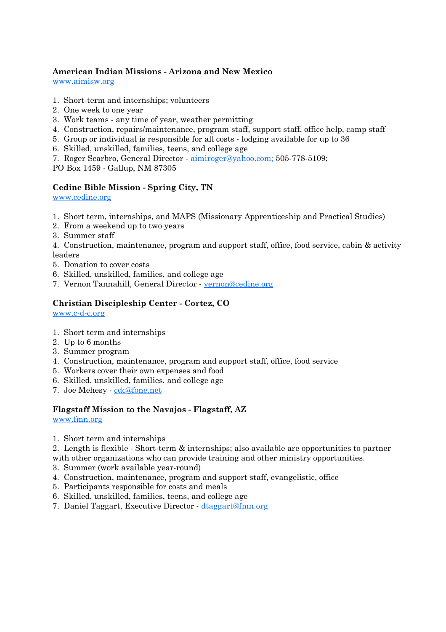# **American Indian Missions - Arizona and New Mexico**

www.aimisw.org

- 1. Short-term and internships; volunteers
- 2. One week to one year
- 3. Work teams any time of year, weather permitting
- 4. Construction, repairs/maintenance, program staff, support staff, office help, camp staff
- 5. Group or individual is responsible for all costs lodging available for up to 36
- 6. Skilled, unskilled, families, teens, and college age
- 7. Roger Scarbro, General Director aimiroger@yahoo.com; 505-778-5109;

PO Box 1459 - Gallup, NM 87305

# **Cedine Bible Mission - Spring City, TN**

www.cedine.org

- 1. Short term, internships, and MAPS (Missionary Apprenticeship and Practical Studies)
- 2. From a weekend up to two years
- 3. Summer staff

4. Construction, maintenance, program and support staff, office, food service, cabin & activity leaders

- 5. Donation to cover costs
- 6. Skilled, unskilled, families, and college age
- 7. Vernon Tannahill, General Director vernon@cedine.org

# **Christian Discipleship Center - Cortez, CO**

www.c-d-c.org

- 1. Short term and internships
- 2. Up to 6 months
- 3. Summer program
- 4. Construction, maintenance, program and support staff, office, food service
- 5. Workers cover their own expenses and food
- 6. Skilled, unskilled, families, and college age
- 7. Joe Mehesy cdc@fone.net

# **Flagstaff Mission to the Navajos - Flagstaff, AZ**

www.fmn.org

1. Short term and internships

2. Length is flexible - Short-term & internships; also available are opportunities to partner with other organizations who can provide training and other ministry opportunities.

- 3. Summer (work available year-round)
- 4. Construction, maintenance, program and support staff, evangelistic, office
- 5. Participants responsible for costs and meals
- 6. Skilled, unskilled, families, teens, and college age
- 7. Daniel Taggart, Executive Director dtaggart@fmn.org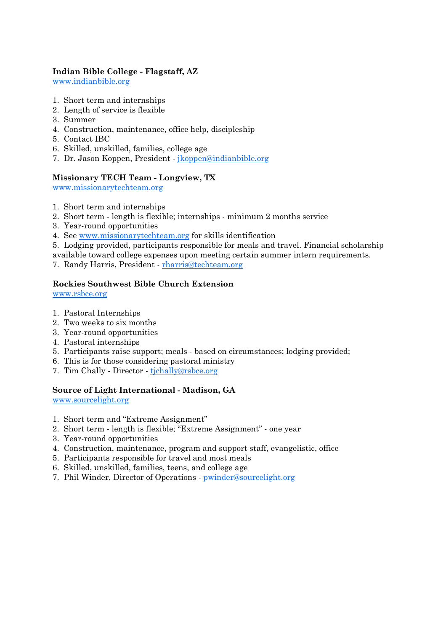# **Indian Bible College - Flagstaff, AZ**

www.indianbible.org

- 1. Short term and internships
- 2. Length of service is flexible
- 3. Summer
- 4. Construction, maintenance, office help, discipleship
- 5. Contact IBC
- 6. Skilled, unskilled, families, college age
- 7. Dr. Jason Koppen, President jkoppen@indianbible.org

#### **Missionary TECH Team - Longview, TX**

www.missionarytechteam.org

- 1. Short term and internships
- 2. Short term length is flexible; internships minimum 2 months service
- 3. Year-round opportunities
- 4. See www.missionarytechteam.org for skills identification
- 5. Lodging provided, participants responsible for meals and travel. Financial scholarship

available toward college expenses upon meeting certain summer intern requirements.

7. Randy Harris, President - rharris@techteam.org

#### **Rockies Southwest Bible Church Extension**

www.rsbce.org

- 1. Pastoral Internships
- 2. Two weeks to six months
- 3. Year-round opportunities
- 4. Pastoral internships
- 5. Participants raise support; meals based on circumstances; lodging provided;
- 6. This is for those considering pastoral ministry
- 7. Tim Chally Director tjchally@rsbce.org

## **Source of Light International - Madison, GA**

www.sourcelight.org

- 1. Short term and "Extreme Assignment"
- 2. Short term length is flexible; "Extreme Assignment" one year
- 3. Year-round opportunities
- 4. Construction, maintenance, program and support staff, evangelistic, office
- 5. Participants responsible for travel and most meals
- 6. Skilled, unskilled, families, teens, and college age
- 7. Phil Winder, Director of Operations pwinder@sourcelight.org